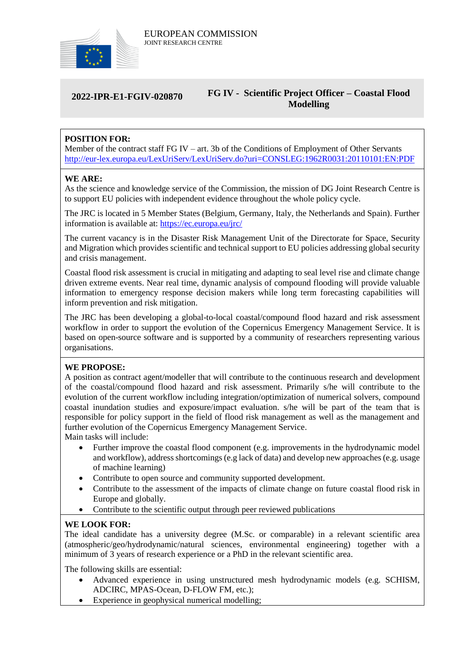

### **2022-IPR-E1-FGIV-020870 FG IV - Scientific Project Officer – Coastal Flood Modelling**

# **POSITION FOR:**

Member of the contract staff FG IV – art. 3b of the Conditions of Employment of Other Servants <http://eur-lex.europa.eu/LexUriServ/LexUriServ.do?uri=CONSLEG:1962R0031:20110101:EN:PDF>

#### **WE ARE:**

As the science and knowledge service of the Commission, the mission of DG Joint Research Centre is to support EU policies with independent evidence throughout the whole policy cycle.

The JRC is located in 5 Member States (Belgium, Germany, Italy, the Netherlands and Spain). Further information is available at: <https://ec.europa.eu/jrc/>

The current vacancy is in the Disaster Risk Management Unit of the Directorate for Space, Security and Migration which provides scientific and technical support to EU policies addressing global security and crisis management.

Coastal flood risk assessment is crucial in mitigating and adapting to seal level rise and climate change driven extreme events. Near real time, dynamic analysis of compound flooding will provide valuable information to emergency response decision makers while long term forecasting capabilities will inform prevention and risk mitigation.

The JRC has been developing a global-to-local coastal/compound flood hazard and risk assessment workflow in order to support the evolution of the Copernicus Emergency Management Service. It is based on open-source software and is supported by a community of researchers representing various organisations.

### **WE PROPOSE:**

A position as contract agent/modeller that will contribute to the continuous research and development of the coastal/compound flood hazard and risk assessment. Primarily s/he will contribute to the evolution of the current workflow including integration/optimization of numerical solvers, compound coastal inundation studies and exposure/impact evaluation. s/he will be part of the team that is responsible for policy support in the field of flood risk management as well as the management and further evolution of the Copernicus Emergency Management Service.

Main tasks will include:

- Further improve the coastal flood component (e.g. improvements in the hydrodynamic model and workflow), address shortcomings (e.g lack of data) and develop new approaches (e.g. usage of machine learning)
- Contribute to open source and community supported development.
- Contribute to the assessment of the impacts of climate change on future coastal flood risk in Europe and globally.
- Contribute to the scientific output through peer reviewed publications

### **WE LOOK FOR:**

The ideal candidate has a university degree (M.Sc. or comparable) in a relevant scientific area (atmospheric/geo/hydrodynamic/natural sciences, environmental engineering) together with a minimum of 3 years of research experience or a PhD in the relevant scientific area.

The following skills are essential:

- Advanced experience in using unstructured mesh hydrodynamic models (e.g. SCHISM, ADCIRC, MPAS-Ocean, D-FLOW FM, etc.);
- Experience in geophysical numerical modelling;